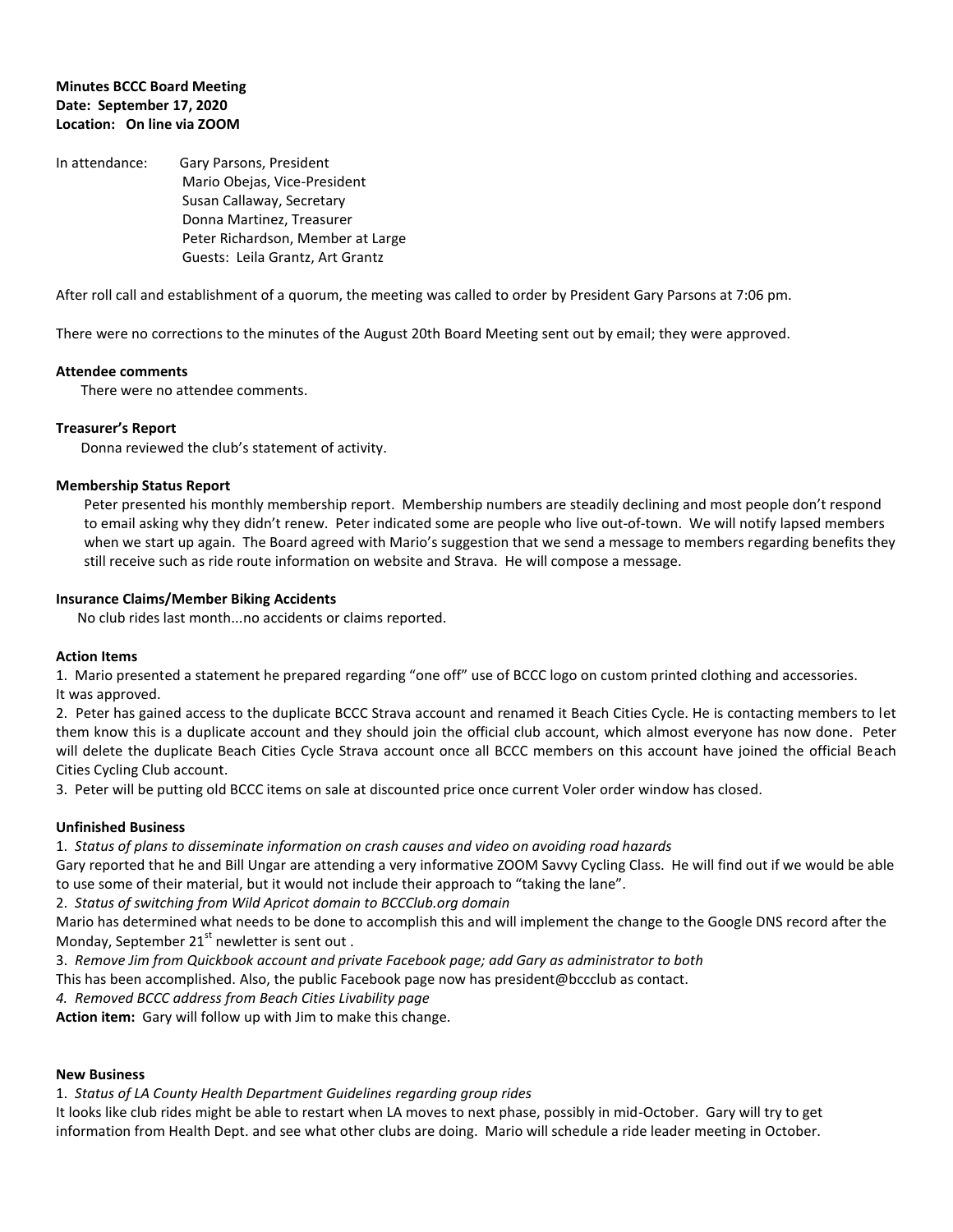# **Minutes BCCC Board Meeting Date: September 17, 2020 Location: On line via ZOOM**

In attendance: Gary Parsons, President Mario Obejas, Vice-President Susan Callaway, Secretary Donna Martinez, Treasurer Peter Richardson, Member at Large Guests: Leila Grantz, Art Grantz

After roll call and establishment of a quorum, the meeting was called to order by President Gary Parsons at 7:06 pm.

There were no corrections to the minutes of the August 20th Board Meeting sent out by email; they were approved.

#### **Attendee comments**

There were no attendee comments.

# **Treasurer's Report**

Donna reviewed the club's statement of activity.

## **Membership Status Report**

Peter presented his monthly membership report. Membership numbers are steadily declining and most people don't respond to email asking why they didn't renew. Peter indicated some are people who live out-of-town. We will notify lapsed members when we start up again. The Board agreed with Mario's suggestion that we send a message to members regarding benefits they still receive such as ride route information on website and Strava. He will compose a message.

## **Insurance Claims/Member Biking Accidents**

No club rides last month...no accidents or claims reported.

#### **Action Items**

1. Mario presented a statement he prepared regarding "one off" use of BCCC logo on custom printed clothing and accessories. It was approved.

2. Peter has gained access to the duplicate BCCC Strava account and renamed it Beach Cities Cycle. He is contacting members to let them know this is a duplicate account and they should join the official club account, which almost everyone has now done. Peter will delete the duplicate Beach Cities Cycle Strava account once all BCCC members on this account have joined the official Beach Cities Cycling Club account.

3. Peter will be putting old BCCC items on sale at discounted price once current Voler order window has closed.

#### **Unfinished Business**

1. *Status of plans to disseminate information on crash causes and video on avoiding road hazards*

Gary reported that he and Bill Ungar are attending a very informative ZOOM Savvy Cycling Class. He will find out if we would be able to use some of their material, but it would not include their approach to "taking the lane".

2. *Status of switching from Wild Apricot domain to BCCClub.org domain*

Mario has determined what needs to be done to accomplish this and will implement the change to the Google DNS record after the Monday, September  $21<sup>st</sup>$  newletter is sent out .

- 3. *Remove Jim from Quickbook account and private Facebook page; add Gary as administrator to both*
- This has been accomplished. Also, the public Facebook page now has president@bccclub as contact.

*4. Removed BCCC address from Beach Cities Livability page*

**Action item:** Gary will follow up with Jim to make this change.

# **New Business**

1. *Status of LA County Health Department Guidelines regarding group rides*

It looks like club rides might be able to restart when LA moves to next phase, possibly in mid-October. Gary will try to get information from Health Dept. and see what other clubs are doing. Mario will schedule a ride leader meeting in October.